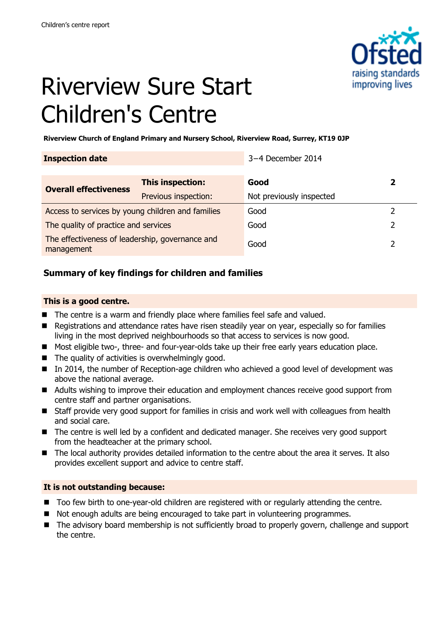

# Riverview Sure Start Children's Centre

**Riverview Church of England Primary and Nursery School, Riverview Road, Surrey, KT19 0JP**

| <b>Inspection date</b>                            |                                          | 3-4 December 2014                |   |
|---------------------------------------------------|------------------------------------------|----------------------------------|---|
|                                                   |                                          |                                  |   |
| <b>Overall effectiveness</b>                      | This inspection:<br>Previous inspection: | Good<br>Not previously inspected | 2 |
| Access to services by young children and families |                                          | Good                             |   |
| The quality of practice and services              |                                          | Good                             |   |
| The effectiveness of leadership, governance and   |                                          |                                  |   |
| management                                        |                                          | Good                             |   |

### **Summary of key findings for children and families**

#### **This is a good centre.**

- The centre is a warm and friendly place where families feel safe and valued.
- Registrations and attendance rates have risen steadily year on year, especially so for families living in the most deprived neighbourhoods so that access to services is now good.
- Most eligible two-, three- and four-year-olds take up their free early years education place.
- $\blacksquare$  The quality of activities is overwhelmingly good.
- In 2014, the number of Reception-age children who achieved a good level of development was above the national average.
- Adults wishing to improve their education and employment chances receive good support from centre staff and partner organisations.
- Staff provide very good support for families in crisis and work well with colleagues from health and social care.
- The centre is well led by a confident and dedicated manager. She receives very good support from the headteacher at the primary school.
- The local authority provides detailed information to the centre about the area it serves. It also provides excellent support and advice to centre staff.

#### **It is not outstanding because:**

- Too few birth to one-year-old children are registered with or regularly attending the centre.
- Not enough adults are being encouraged to take part in volunteering programmes.
- The advisory board membership is not sufficiently broad to properly govern, challenge and support the centre.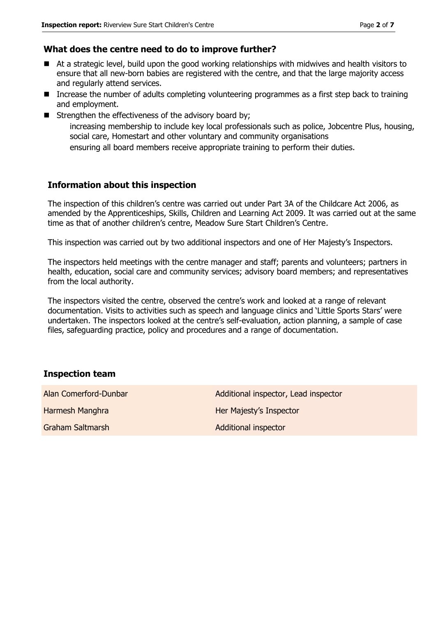#### **What does the centre need to do to improve further?**

- At a strategic level, build upon the good working relationships with midwives and health visitors to ensure that all new-born babies are registered with the centre, and that the large majority access and regularly attend services.
- Increase the number of adults completing volunteering programmes as a first step back to training and employment.
- $\blacksquare$  Strengthen the effectiveness of the advisory board by;

increasing membership to include key local professionals such as police, Jobcentre Plus, housing, social care, Homestart and other voluntary and community organisations

ensuring all board members receive appropriate training to perform their duties.

#### **Information about this inspection**

The inspection of this children's centre was carried out under Part 3A of the Childcare Act 2006, as amended by the Apprenticeships, Skills, Children and Learning Act 2009. It was carried out at the same time as that of another children's centre, Meadow Sure Start Children's Centre.

This inspection was carried out by two additional inspectors and one of Her Majesty's Inspectors.

The inspectors held meetings with the centre manager and staff; parents and volunteers; partners in health, education, social care and community services; advisory board members; and representatives from the local authority.

The inspectors visited the centre, observed the centre's work and looked at a range of relevant documentation. Visits to activities such as speech and language clinics and 'Little Sports Stars' were undertaken. The inspectors looked at the centre's self-evaluation, action planning, a sample of case files, safeguarding practice, policy and procedures and a range of documentation.

#### **Inspection team**

| Alan Comerford-Dunbar | Additional inspector, Lead inspector |
|-----------------------|--------------------------------------|
| Harmesh Manghra       | Her Majesty's Inspector              |
| Graham Saltmarsh      | <b>Additional inspector</b>          |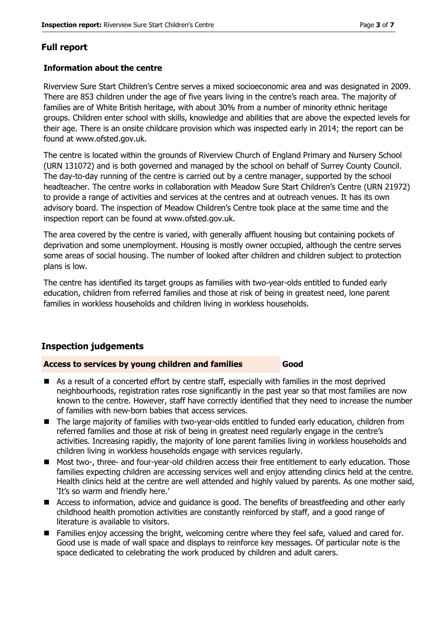### **Full report**

#### **Information about the centre**

Riverview Sure Start Children's Centre serves a mixed socioeconomic area and was designated in 2009. There are 853 children under the age of five years living in the centre's reach area. The majority of families are of White British heritage, with about 30% from a number of minority ethnic heritage groups. Children enter school with skills, knowledge and abilities that are above the expected levels for their age. There is an onsite childcare provision which was inspected early in 2014; the report can be found at www.ofsted.gov.uk.

The centre is located within the grounds of Riverview Church of England Primary and Nursery School (URN 131072) and is both governed and managed by the school on behalf of Surrey County Council. The day-to-day running of the centre is carried out by a centre manager, supported by the school headteacher. The centre works in collaboration with Meadow Sure Start Children's Centre (URN 21972) to provide a range of activities and services at the centres and at outreach venues. It has its own advisory board. The inspection of Meadow Children's Centre took place at the same time and the inspection report can be found at www.ofsted.gov.uk.

The area covered by the centre is varied, with generally affluent housing but containing pockets of deprivation and some unemployment. Housing is mostly owner occupied, although the centre serves some areas of social housing. The number of looked after children and children subject to protection plans is low.

The centre has identified its target groups as families with two-year-olds entitled to funded early education, children from referred families and those at risk of being in greatest need, lone parent families in workless households and children living in workless households.

#### **Inspection judgements**

#### **Access to services by young children and families Good**

- As a result of a concerted effort by centre staff, especially with families in the most deprived neighbourhoods, registration rates rose significantly in the past year so that most families are now known to the centre. However, staff have correctly identified that they need to increase the number of families with new-born babies that access services.
- The large majority of families with two-year-olds entitled to funded early education, children from referred families and those at risk of being in greatest need regularly engage in the centre's activities. Increasing rapidly, the majority of lone parent families living in workless households and children living in workless households engage with services regularly.
- Most two-, three- and four-year-old children access their free entitlement to early education. Those families expecting children are accessing services well and enjoy attending clinics held at the centre. Health clinics held at the centre are well attended and highly valued by parents. As one mother said, 'It's so warm and friendly here.'
- Access to information, advice and guidance is good. The benefits of breastfeeding and other early childhood health promotion activities are constantly reinforced by staff, and a good range of literature is available to visitors.
- **Families enjoy accessing the bright, welcoming centre where they feel safe, valued and cared for.** Good use is made of wall space and displays to reinforce key messages. Of particular note is the space dedicated to celebrating the work produced by children and adult carers.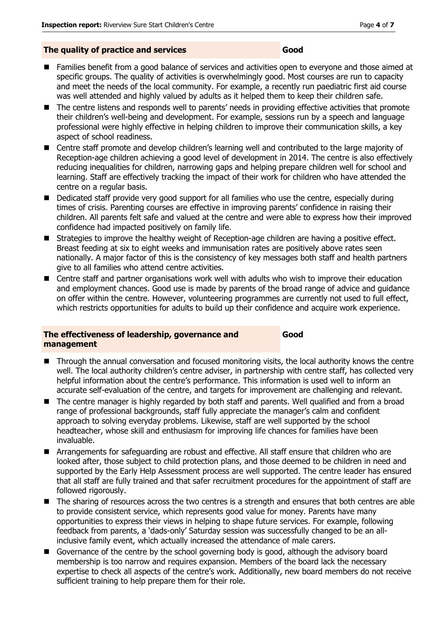#### **The quality of practice and services Good**

- Families benefit from a good balance of services and activities open to everyone and those aimed at specific groups. The quality of activities is overwhelmingly good. Most courses are run to capacity and meet the needs of the local community. For example, a recently run paediatric first aid course was well attended and highly valued by adults as it helped them to keep their children safe.
- The centre listens and responds well to parents' needs in providing effective activities that promote their children's well-being and development. For example, sessions run by a speech and language professional were highly effective in helping children to improve their communication skills, a key aspect of school readiness.
- Centre staff promote and develop children's learning well and contributed to the large majority of Reception-age children achieving a good level of development in 2014. The centre is also effectively reducing inequalities for children, narrowing gaps and helping prepare children well for school and learning. Staff are effectively tracking the impact of their work for children who have attended the centre on a regular basis.
- Dedicated staff provide very good support for all families who use the centre, especially during times of crisis. Parenting courses are effective in improving parents' confidence in raising their children. All parents felt safe and valued at the centre and were able to express how their improved confidence had impacted positively on family life.
- Strategies to improve the healthy weight of Reception-age children are having a positive effect. Breast feeding at six to eight weeks and immunisation rates are positively above rates seen nationally. A major factor of this is the consistency of key messages both staff and health partners give to all families who attend centre activities.
- Centre staff and partner organisations work well with adults who wish to improve their education and employment chances. Good use is made by parents of the broad range of advice and guidance on offer within the centre. However, volunteering programmes are currently not used to full effect, which restricts opportunities for adults to build up their confidence and acquire work experience.

#### **The effectiveness of leadership, governance and management**

**Good**

- Through the annual conversation and focused monitoring visits, the local authority knows the centre well. The local authority children's centre adviser, in partnership with centre staff, has collected very helpful information about the centre's performance. This information is used well to inform an accurate self-evaluation of the centre, and targets for improvement are challenging and relevant.
- The centre manager is highly regarded by both staff and parents. Well qualified and from a broad range of professional backgrounds, staff fully appreciate the manager's calm and confident approach to solving everyday problems. Likewise, staff are well supported by the school headteacher, whose skill and enthusiasm for improving life chances for families have been invaluable.
- **E** Arrangements for safeguarding are robust and effective. All staff ensure that children who are looked after, those subject to child protection plans, and those deemed to be children in need and supported by the Early Help Assessment process are well supported. The centre leader has ensured that all staff are fully trained and that safer recruitment procedures for the appointment of staff are followed rigorously.
- The sharing of resources across the two centres is a strength and ensures that both centres are able to provide consistent service, which represents good value for money. Parents have many opportunities to express their views in helping to shape future services. For example, following feedback from parents, a 'dads-only' Saturday session was successfully changed to be an allinclusive family event, which actually increased the attendance of male carers.
- Governance of the centre by the school governing body is good, although the advisory board membership is too narrow and requires expansion. Members of the board lack the necessary expertise to check all aspects of the centre's work. Additionally, new board members do not receive sufficient training to help prepare them for their role.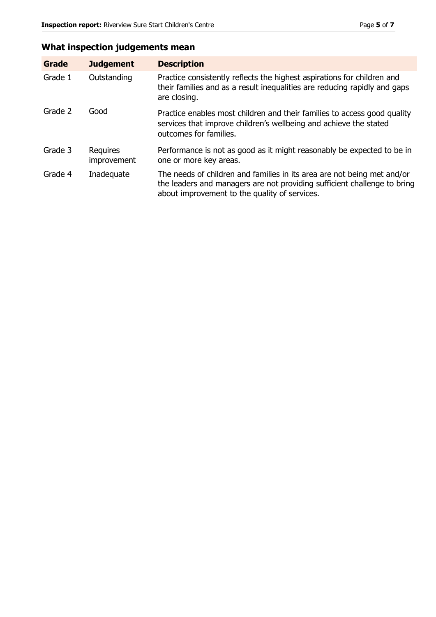## **What inspection judgements mean**

| Grade   | <b>Judgement</b>        | <b>Description</b>                                                                                                                                                                                   |
|---------|-------------------------|------------------------------------------------------------------------------------------------------------------------------------------------------------------------------------------------------|
| Grade 1 | Outstanding             | Practice consistently reflects the highest aspirations for children and<br>their families and as a result inequalities are reducing rapidly and gaps<br>are closing.                                 |
| Grade 2 | Good                    | Practice enables most children and their families to access good quality<br>services that improve children's wellbeing and achieve the stated<br>outcomes for families.                              |
| Grade 3 | Requires<br>improvement | Performance is not as good as it might reasonably be expected to be in<br>one or more key areas.                                                                                                     |
| Grade 4 | Inadequate              | The needs of children and families in its area are not being met and/or<br>the leaders and managers are not providing sufficient challenge to bring<br>about improvement to the quality of services. |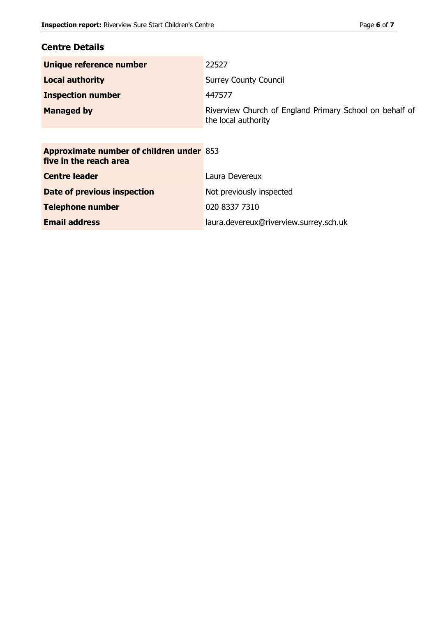#### **Centre Details**

| Unique reference number                                                   | 22527                                                                          |
|---------------------------------------------------------------------------|--------------------------------------------------------------------------------|
| <b>Local authority</b>                                                    | <b>Surrey County Council</b>                                                   |
| <b>Inspection number</b>                                                  | 447577                                                                         |
| <b>Managed by</b>                                                         | Riverview Church of England Primary School on behalf of<br>the local authority |
|                                                                           |                                                                                |
| <b>Approximate number of children under 853</b><br>five in the reach area |                                                                                |
| <b>Centre leader</b>                                                      | Laura Devereux                                                                 |
| Date of previous inspection                                               | Not previously inspected                                                       |
| <b>Telephone number</b>                                                   | 020 8337 7310                                                                  |

**Email address** laura.devereux@riverview.surrey.sch.uk